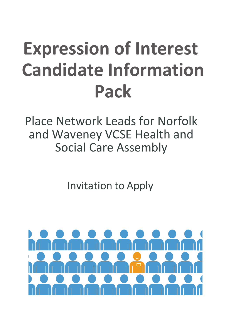### **Expression of Interest Candidate Information Pack**

Place Network Leads for Norfolk and Waveney VCSE Health and Social Care Assembly

Invitation to Apply

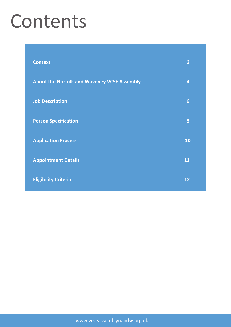### Contents

| <b>Context</b>                                     | 3               |
|----------------------------------------------------|-----------------|
| <b>About the Norfolk and Waveney VCSE Assembly</b> | $\overline{4}$  |
| <b>Job Description</b>                             | $6\phantom{1}6$ |
| <b>Person Specification</b>                        | 8               |
| <b>Application Process</b>                         | <b>10</b>       |
| <b>Appointment Details</b>                         | 11              |
| <b>Eligibility Criteria</b>                        | 12              |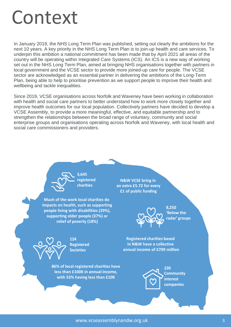### Context

In January 2019, the NHS Long Term Plan was published, setting out clearly the ambitions for the next 10 years. A key priority in the NHS Long Term Plan is to join-up health and care services. To underpin this ambition a national commitment has been made that by April 2021 all areas of the country will be operating within Integrated Care Systems (ICS). An ICS is a new way of working set out in the NHS Long Term Plan, aimed at bringing NHS organisations together with partners in local government and the VCSE sector to provide more joined-up care for people. The VCSE sector are acknowledged as an essential partner in delivering the ambitions of the Long-Term Plan, being able to help to prioritise prevention as we support people to improve their health and wellbeing and tackle inequalities.

Since 2019, VCSE organisations across Norfolk and Waveney have been working in collaboration with health and social care partners to better understand how to work more closely together and improve health outcomes for our local population. Collectively partners have decided to develop a VCSE Assembly, to provide a more meaningful, effective, and equitable partnership and to strengthen the relationships between the broad range of voluntary, community and social enterprise groups and organisations operating across Norfolk and Waveney, with local health and social care commissioners and providers.

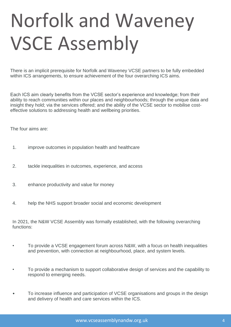## Norfolk and Waveney VSCE Assembly

There is an implicit prerequisite for Norfolk and Waveney VCSE partners to be fully embedded within ICS arrangements, to ensure achievement of the four overarching ICS aims.

Each ICS aim clearly benefits from the VCSE sector's experience and knowledge; from their ability to reach communities within our places and neighbourhoods; through the unique data and insight they hold; via the services offered; and the ability of the VCSE sector to mobilise costeffective solutions to addressing health and wellbeing priorities.

The four aims are:

- 1. improve outcomes in population health and healthcare
- 2. tackle inequalities in outcomes, experience, and access
- 3. enhance productivity and value for money
- 4. help the NHS support broader social and economic development

In 2021, the N&W VCSE Assembly was formally established, with the following overarching functions:

- To provide a VCSE engagement forum across N&W, with a focus on health inequalities and prevention, with connection at neighbourhood, place, and system levels.
- To provide a mechanism to support collaborative design of services and the capability to respond to emerging needs.
- To increase influence and participation of VCSE organisations and groups in the design and delivery of health and care services within the ICS.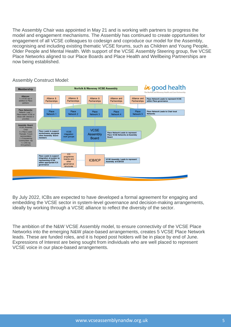The Assembly Chair was appointed in May 21 and is working with partners to progress the model and engagement mechanisms. The Assembly has continued to create opportunities for engagement of all VCSE colleagues to codesign and coproduce our model for the Assembly, recognising and including existing thematic VCSE forums, such as Children and Young People, Older People and Mental Health. With support of the VCSE Assembly Steering group, five VCSE Place Networks aligned to our Place Boards and Place Health and Wellbeing Partnerships are now being established.



Assembly Construct Model:

By July 2022, ICBs are expected to have developed a formal agreement for engaging and embedding the VCSE sector in system-level governance and decision-making arrangements, ideally by working through a VCSE alliance to reflect the diversity of the sector.

The ambition of the N&W VCSE Assembly model, to ensure connectivity of the VCSE Place Networks into the emerging N&W place-based arrangements, creates 5 VCSE Place Network leads. These are funded roles, and it is hoped post holders will be in place by end of June. Expressions of Interest are being sought from individuals who are well placed to represent VCSE voice in our place-based arrangements.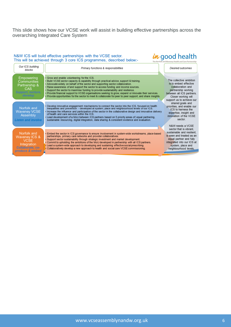This slide shows how our VCSE work will assist in building effective partnerships across the overarching Integrated Care System

in good health

#### N&W ICS will build effective partnerships with the VCSE sector. This will be achieved through 3 core ICS programmes, described below:-

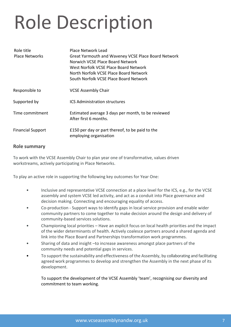# Role Description

| Role title<br><b>Place Networks</b> | Place Network Lead<br>Great Yarmouth and Waveney VCSE Place Board Network<br>Norwich VCSE Place Board Network<br>West Norfolk VCSE Place Board Network<br>North Norfolk VCSE Place Board Network<br>South Norfolk VCSE Place Board Network |
|-------------------------------------|--------------------------------------------------------------------------------------------------------------------------------------------------------------------------------------------------------------------------------------------|
| Responsible to                      | <b>VCSE Assembly Chair</b>                                                                                                                                                                                                                 |
| Supported by                        | <b>ICS Administration structures</b>                                                                                                                                                                                                       |
| Time commitment                     | Estimated average 3 days per month, to be reviewed<br>After first 6 months.                                                                                                                                                                |
| <b>Financial Support</b>            | £150 per day or part thereof, to be paid to the<br>employing organisation                                                                                                                                                                  |

#### **Role summary**

To work with the VCSE Assembly Chair to plan year one of transformative, values driven workstreams, actively participating in Place Networks.

To play an active role in supporting the following key outcomes for Year One:

- Inclusive and representative VCSE connection at a place level for the ICS, e.g., for the VCSE assembly and system VCSE led activity, and act as a conduit into Place governance and decision making. Connecting and encouraging equality of access.
- Co-production Support ways to identify gaps in local service provision and enable wider community partners to come together to make decision around the design and delivery of community-based services solutions.
- Championing local priorities Have an explicit focus on local health priorities and the impact of the wider determinants of health. Actively coalesce partners around a shared agenda and link into the Place Board and Partnerships transformation work programmes.
- Sharing of data and insight –to increase awareness amongst place partners of the community needs and potential gaps in services.
- To support the sustainability and effectiveness of the Assembly, by collaborating and facilitating agreed work programmes to develop and strengthen the Assembly in the next phase of its development.

To support the development of the VCSE Assembly 'team', recognising our diversity and commitment to team working.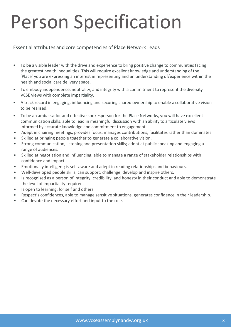### Person Specification

#### Essential attributes and core competencies of Place Network Leads

- To be a visible leader with the drive and experience to bring positive change to communities facing the greatest health inequalities. This will require excellent knowledge and understanding of the 'Place' you are expressing an interest in representing and an understanding of/experience within the health and social care delivery space.
- To embody independence, neutrality, and integrity with a commitment to represent the diversity VCSE views with complete impartiality.
- A track record in engaging, influencing and securing shared ownership to enable a collaborative vision to be realised.
- To be an ambassador and effective spokesperson for the Place Networks, you will have excellent communication skills, able to lead in meaningful discussion with an ability to articulate views informed by accurate knowledge and commitment to engagement.
- Adept in chairing meetings, provides focus, manages contributions, facilitates rather than dominates.
- Skilled at bringing people together to generate a collaborative vision.
- Strong communication, listening and presentation skills; adept at public speaking and engaging a range of audiences.
- Skilled at negotiation and influencing, able to manage a range of stakeholder relationships with confidence and impact.
- Emotionally intelligent; is self-aware and adept in reading relationships and behaviours.
- Well-developed people skills, can support, challenge, develop and inspire others.
- Is recognised as a person of integrity, credibility, and honesty in their conduct and able to demonstrate the level of impartiality required.
- Is open to learning, for self and others.
- Respect's confidences, able to manage sensitive situations, generates confidence in their leadership.
- Can devote the necessary effort and input to the role.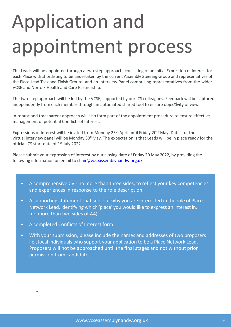# Application and appointment process

The Leads will be appointed through a two-step approach, consisting of an initial Expression of Interest for each Place with shortlisting to be undertaken by the current Assembly Steering Group and representatives of the Place Lead Task and Finish Groups, and an interview Panel comprising representatives from the wider VCSE and Norfolk Health and Care Partnership.

The two-step approach will be led by the VCSE, supported by our ICS colleagues. Feedback will be captured independently from each member through an automated shared tool to ensure objectivity of views.

A robust and transparent approach will also form part of the appointment procedure to ensure effective management of potential Conflicts of Interest.

Expressions of Interest will be invited from Monday 25<sup>th</sup> April until Friday 20<sup>th</sup> May. Dates for the virtual interview panel will be Monday 30<sup>th</sup>May. The expectation is that Leads will be in place ready for the official ICS start date of 1<sup>st</sup> July 2022.

Please submit your expression of interest by our closing date of Friday 20 May 2022, by providing the following information on email to [chair@vcseassemblynandw.org.uk](mailto:chair@vcseassemblynandw.org.uk)

- A comprehensive CV no more than three sides, to reflect your key competencies and experiences in response to the role description.
- A supporting statement that sets out why you are interested in the role of Place Network Lead, identifying which 'place' you would like to express an interest in, (no more than two sides of A4).
- A completed Conflicts of Interest form
- With your submission, please include the names and addresses of two proposers i.e., local individuals who support your application to be a Place Network Lead. Proposers will not be approached until the final stages and not without prior permission from candidates.